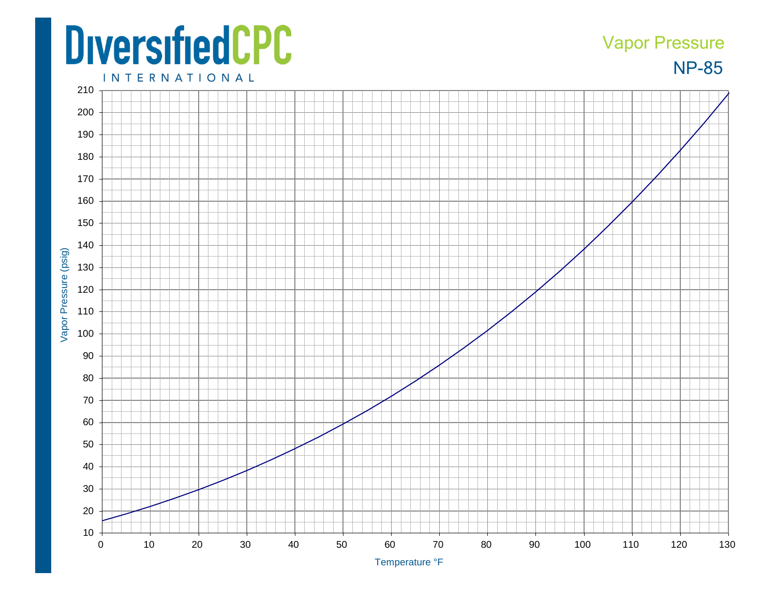## **DiversifiedCPC**

## **NP-85** Vapor Pressure

**INTERNATIONAL**